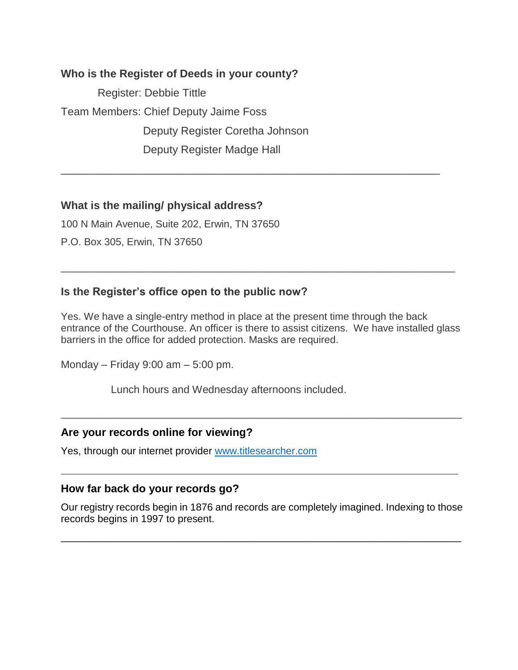# **Who is the Register of Deeds in your county?**

 Register: Debbie Tittle Team Members: Chief Deputy Jaime Foss Deputy Register Coretha Johnson Deputy Register Madge Hall

# **What is the mailing/ physical address?**

100 N Main Avenue, Suite 202, Erwin, TN 37650

P.O. Box 305, Erwin, TN 37650

# **Is the Register's office open to the public now?**

Yes. We have a single-entry method in place at the present time through the back entrance of the Courthouse. An officer is there to assist citizens. We have installed glass barriers in the office for added protection. Masks are required.

\_\_\_\_\_\_\_\_\_\_\_\_\_\_\_\_\_\_\_\_\_\_\_\_\_\_\_\_\_\_\_\_\_\_\_\_\_\_\_\_\_\_\_\_\_\_\_\_\_\_\_\_\_\_\_\_\_\_\_\_\_\_\_\_\_\_\_\_\_\_\_\_\_\_\_\_\_\_\_

\_\_\_\_\_\_\_\_\_\_\_\_\_\_\_\_\_\_\_\_\_\_\_\_\_\_\_\_\_\_\_\_\_\_\_\_\_\_\_\_\_\_\_\_\_\_\_\_\_\_\_\_\_\_\_\_\_\_\_\_\_\_\_\_\_\_\_

\_\_\_\_\_\_\_\_\_\_\_\_\_\_\_\_\_\_\_\_\_\_\_\_\_\_\_\_\_\_\_\_\_\_\_\_\_\_\_\_\_\_\_\_\_\_\_\_\_\_\_\_\_\_\_\_\_\_\_\_\_\_

Monday – Friday 9:00 am – 5:00 pm.

Lunch hours and Wednesday afternoons included.

# **Are your records online for viewing?**

Yes, through our internet provider [www.titlesearcher.com](http://www.titlesearcher.com/)

# **How far back do your records go?**

Our registry records begin in 1876 and records are completely imagined. Indexing to those records begins in 1997 to present.

\_\_\_\_\_\_\_\_\_\_\_\_\_\_\_\_\_\_\_\_\_\_\_\_\_\_\_\_\_\_\_\_\_\_\_\_\_\_\_\_\_\_\_\_\_\_\_\_\_\_\_\_\_\_\_\_\_\_\_\_\_\_\_\_\_\_\_\_\_\_\_

**\_\_\_\_\_\_\_\_\_\_\_\_\_\_\_\_\_\_\_\_\_\_\_\_\_\_\_\_\_\_\_\_\_\_\_\_\_\_\_\_\_\_\_\_\_\_\_\_\_\_\_\_\_\_\_\_\_\_\_\_\_\_\_\_\_**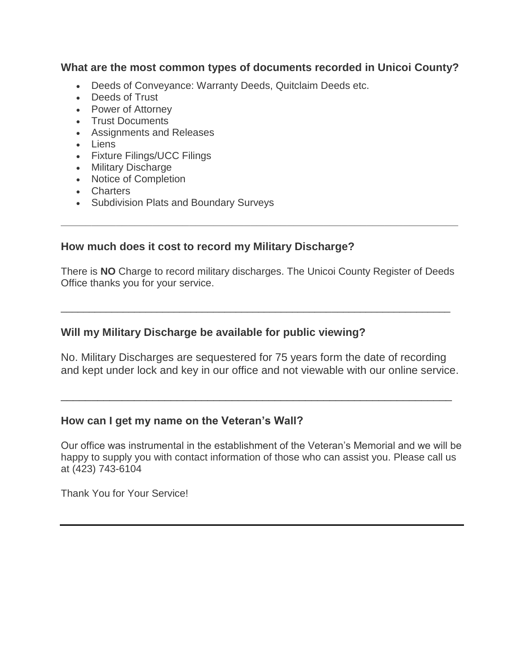**What are the most common types of documents recorded in Unicoi County?**

- Deeds of Conveyance: Warranty Deeds, Quitclaim Deeds etc.
- Deeds of Trust
- Power of Attorney
- Trust Documents
- Assignments and Releases
- Liens
- Fixture Filings/UCC Filings
- Military Discharge
- Notice of Completion
- Charters
- Subdivision Plats and Boundary Surveys

# **How much does it cost to record my Military Discharge?**

There is **NO** Charge to record military discharges. The Unicoi County Register of Deeds Office thanks you for your service.

\_\_\_\_\_\_\_\_\_\_\_\_\_\_\_\_\_\_\_\_\_\_\_\_\_\_\_\_\_\_\_\_\_\_\_\_\_\_\_\_\_\_\_\_\_\_\_\_\_\_\_\_\_\_\_\_\_\_\_\_\_\_\_\_\_\_\_\_\_

**\_\_\_\_\_\_\_\_\_\_\_\_\_\_\_\_\_\_\_\_\_\_\_\_\_\_\_\_\_\_\_\_\_\_\_\_\_\_\_\_\_\_\_\_\_\_\_\_\_\_\_\_\_\_\_\_\_\_\_\_\_\_\_\_\_**

# **Will my Military Discharge be available for public viewing?**

No. Military Discharges are sequestered for 75 years form the date of recording and kept under lock and key in our office and not viewable with our online service.

\_\_\_\_\_\_\_\_\_\_\_\_\_\_\_\_\_\_\_\_\_\_\_\_\_\_\_\_\_\_\_\_\_\_\_\_\_\_\_\_\_\_\_\_\_\_\_\_\_\_\_\_\_\_\_\_\_\_\_\_\_\_\_\_

#### **How can I get my name on the Veteran's Wall?**

Our office was instrumental in the establishment of the Veteran's Memorial and we will be happy to supply you with contact information of those who can assist you. Please call us at (423) 743-6104

Thank You for Your Service!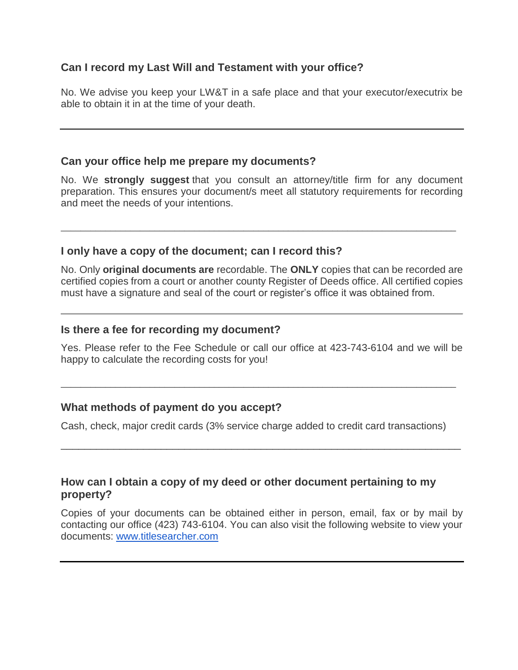# **Can I record my Last Will and Testament with your office?**

No. We advise you keep your LW&T in a safe place and that your executor/executrix be able to obtain it in at the time of your death.

### **Can your office help me prepare my documents?**

No. We **strongly suggest** that you consult an attorney/title firm for any document preparation. This ensures your document/s meet all statutory requirements for recording and meet the needs of your intentions.

\_\_\_\_\_\_\_\_\_\_\_\_\_\_\_\_\_\_\_\_\_\_\_\_\_\_\_\_\_\_\_\_\_\_\_\_\_\_\_\_\_\_\_\_\_\_\_\_\_\_\_\_\_\_\_\_\_\_\_\_\_\_\_\_\_\_\_\_\_\_\_\_\_\_\_\_\_\_\_\_

#### **I only have a copy of the document; can I record this?**

No. Only **original documents are** recordable. The **ONLY** copies that can be recorded are certified copies from a court or another county Register of Deeds office. All certified copies must have a signature and seal of the court or register's office it was obtained from.

#### **Is there a fee for recording my document?**

Yes. Please refer to the Fee Schedule or call our office at 423-743-6104 and we will be happy to calculate the recording costs for you!

\_\_\_\_\_\_\_\_\_\_\_\_\_\_\_\_\_\_\_\_\_\_\_\_\_\_\_\_\_\_\_\_\_\_\_\_\_\_\_\_\_\_\_\_\_\_\_\_\_\_\_\_\_\_\_\_\_\_\_\_\_\_\_\_\_\_\_\_\_\_\_\_\_\_\_\_\_\_\_\_

# **What methods of payment do you accept?**

Cash, check, major credit cards (3% service charge added to credit card transactions)

\_\_\_\_\_\_\_\_\_\_\_\_\_\_\_\_\_\_\_\_\_\_\_\_\_\_\_\_\_\_\_\_\_\_\_\_\_\_\_\_\_\_\_\_\_\_\_\_\_\_\_\_\_\_\_\_\_\_\_\_\_\_\_\_\_\_\_\_

#### **How can I obtain a copy of my deed or other document pertaining to my property?**

Copies of your documents can be obtained either in person, email, fax or by mail by contacting our office (423) 743-6104. You can also visit the following website to view your documents: [www.titlesearcher.com](http://www.titlesearcher.com/)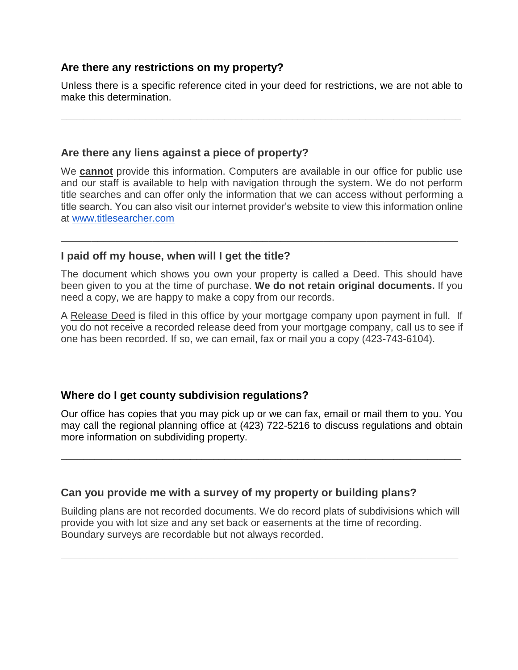# **Are there any restrictions on my property?**

Unless there is a specific reference cited in your deed for restrictions, we are not able to make this determination.

**\_\_\_\_\_\_\_\_\_\_\_\_\_\_\_\_\_\_\_\_\_\_\_\_\_\_\_\_\_\_\_\_\_\_\_\_\_\_\_\_\_\_\_\_\_\_\_\_\_\_\_\_\_\_\_\_\_\_\_\_\_\_\_\_\_\_\_\_\_\_\_**

# **Are there any liens against a piece of property?**

We **cannot** provide this information. Computers are available in our office for public use and our staff is available to help with navigation through the system. We do not perform title searches and can offer only the information that we can access without performing a title search. You can also visit our internet provider's website to view this information online at [www.titlesearcher.com](http://www.titlesearcher.com/)

**\_\_\_\_\_\_\_\_\_\_\_\_\_\_\_\_\_\_\_\_\_\_\_\_\_\_\_\_\_\_\_\_\_\_\_\_\_\_\_\_\_\_\_\_\_\_\_\_\_\_\_\_\_\_\_\_\_\_\_\_\_\_\_\_\_**

# **I paid off my house, when will I get the title?**

The document which shows you own your property is called a Deed. This should have been given to you at the time of purchase. **We do not retain original documents.** If you need a copy, we are happy to make a copy from our records.

A Release Deed is filed in this office by your mortgage company upon payment in full. If you do not receive a recorded release deed from your mortgage company, call us to see if one has been recorded. If so, we can email, fax or mail you a copy (423-743-6104).

**\_\_\_\_\_\_\_\_\_\_\_\_\_\_\_\_\_\_\_\_\_\_\_\_\_\_\_\_\_\_\_\_\_\_\_\_\_\_\_\_\_\_\_\_\_\_\_\_\_\_\_\_\_\_\_\_\_\_\_\_\_\_\_\_\_**

# **Where do I get county subdivision regulations?**

Our office has copies that you may pick up or we can fax, email or mail them to you. You may call the regional planning office at (423) 722-5216 to discuss regulations and obtain more information on subdividing property.

**\_\_\_\_\_\_\_\_\_\_\_\_\_\_\_\_\_\_\_\_\_\_\_\_\_\_\_\_\_\_\_\_\_\_\_\_\_\_\_\_\_\_\_\_\_\_\_\_\_\_\_\_\_\_\_\_\_\_\_\_\_\_\_\_\_\_\_\_\_\_\_**

# **Can you provide me with a survey of my property or building plans?**

Building plans are not recorded documents. We do record plats of subdivisions which will provide you with lot size and any set back or easements at the time of recording. Boundary surveys are recordable but not always recorded.

**\_\_\_\_\_\_\_\_\_\_\_\_\_\_\_\_\_\_\_\_\_\_\_\_\_\_\_\_\_\_\_\_\_\_\_\_\_\_\_\_\_\_\_\_\_\_\_\_\_\_\_\_\_\_\_\_\_\_\_\_\_\_\_\_\_**